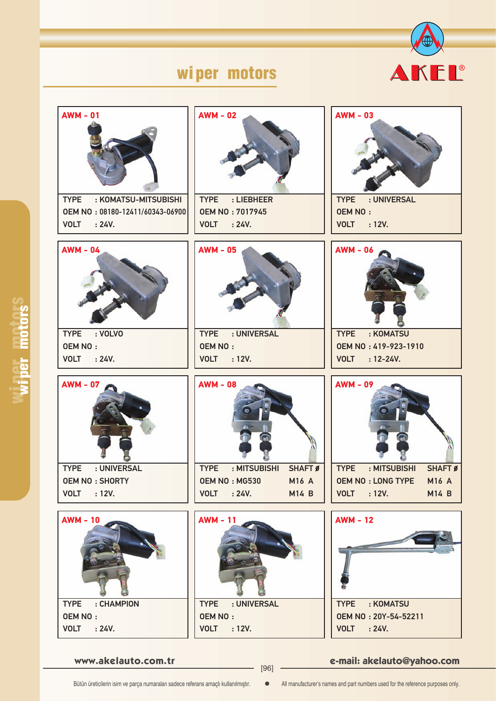

### wiper motors



**www.akelauto.com.tr e-mail: akelauto@yahoo.com** [96]

winer motors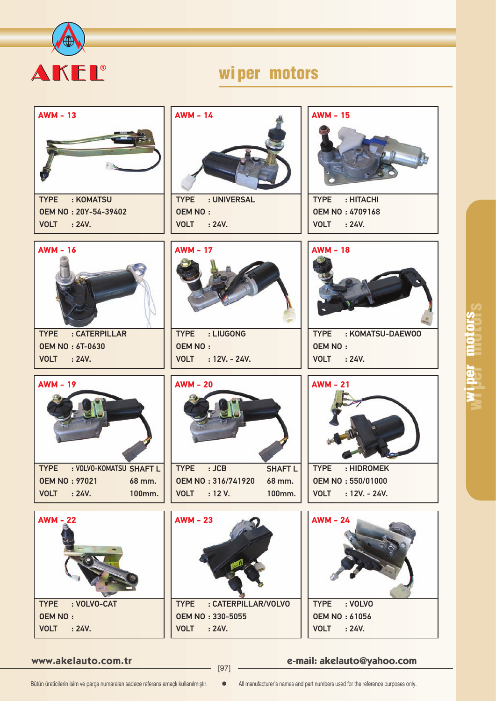

### wi per motors



wi per motors

wiper motors

**www.akelauto.com.tr e-mail: akelauto@yahoo.com** [97]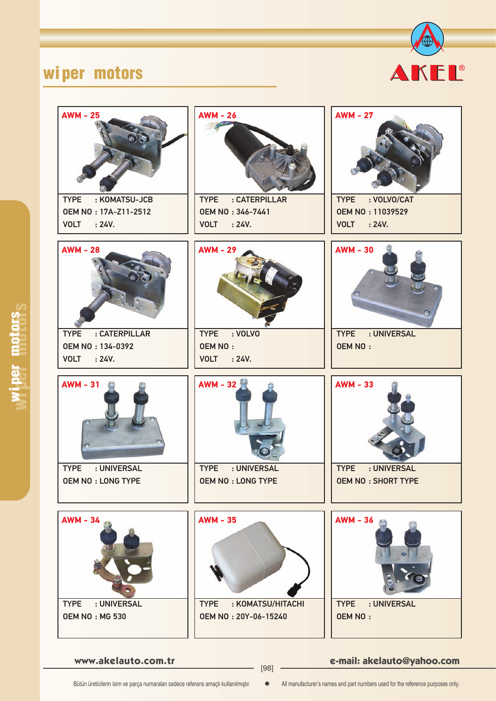# wi per motors



| <b>AWM - 25</b>                                                                              | $AWM - 26$                                                                          | <b>AWM - 27</b>                                                 |
|----------------------------------------------------------------------------------------------|-------------------------------------------------------------------------------------|-----------------------------------------------------------------|
| <b>TYPE</b>                                                                                  | <b>TYPE</b>                                                                         | : VOLVO/CAT                                                     |
| : KOMATSU-JCB                                                                                | : CATERPILLAR                                                                       | <b>TYPE</b>                                                     |
| OEM NO: 17A-Z11-2512                                                                         | <b>OEM NO: 346-7441</b>                                                             | <b>OEM NO: 11039529</b>                                         |
| <b>VOLT</b>                                                                                  | :24V.                                                                               | <b>VOLT</b>                                                     |
| : 24V.                                                                                       | <b>VOLT</b>                                                                         | :24V.                                                           |
| <b>AWM - 28</b><br><b>TYPE</b><br>: CATERPILLAR<br>OEM NO: 134-0392<br><b>VOLT</b><br>: 24V. | <b>AWM - 29</b><br>: VOLVO<br><b>TYPE</b><br><b>OEM NO:</b><br><b>VOLT</b><br>:24V. | <b>AWM - 30</b><br>: UNIVERSAL<br><b>TYPE</b><br><b>OEM NO:</b> |
| <b>AWM - 31</b>                                                                              | <b>AWM - 32</b>                                                                     | <b>AWM - 33</b>                                                 |
| <b>TYPE</b>                                                                                  | <b>TYPE</b>                                                                         | <b>TYPE</b>                                                     |
| : UNIVERSAL                                                                                  | : UNIVERSAL                                                                         | : UNIVERSAL                                                     |
| <b>OEM NO: LONG TYPE</b>                                                                     | <b>OEM NO: LONG TYPE</b>                                                            | <b>OEM NO: SHORT TYPE</b>                                       |
| $AWM - 34$                                                                                   | <b>AWM - 35</b>                                                                     | $AWM - 36$                                                      |
| <b>TYPE</b>                                                                                  | <b>TYPE</b>                                                                         | <b>TYPE</b>                                                     |
| : UNIVERSAL                                                                                  | : KOMATSU/HITACHI                                                                   | : UNIVERSAL                                                     |
| <b>OEM NO: MG 530</b>                                                                        | OEM NO: 20Y-06-15240                                                                | <b>OEM NO:</b>                                                  |

**www.akelauto.com.tr e-mail: akelauto@yahoo.com** [98]

Bütün üreticilerin isim ve parça numaraları sadece referans amaçlı kullanılmıştır.  $\bullet$  All manufacturer's names and part numbers used for the reference purposes only.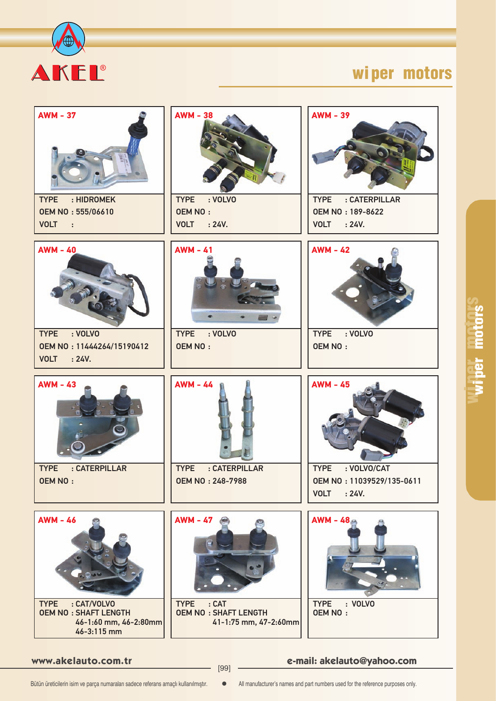

## wi per motors

| <b>AWM - 37</b><br><b>TYPE</b><br>: HIDROMEK  | <b>AWM - 38</b><br>: VOLVO<br><b>TYPE</b> | <b>AWM - 39</b><br><b>TYPE</b><br>: CATERPILLAR |
|-----------------------------------------------|-------------------------------------------|-------------------------------------------------|
| <b>OEM NO: 555/06610</b>                      | <b>OEM NO:</b>                            | <b>OEM NO: 189-8622</b>                         |
| <b>VOLT</b><br>$\sim$ 10                      | : 24V.<br><b>VOLT</b>                     | <b>VOLT</b><br>: 24V.                           |
| <b>AWM - 40</b><br>: VOLVO<br><b>TYPE</b>     | <b>AWM - 41</b><br>: VOLVO<br><b>TYPE</b> | <b>AWM - 42</b><br><b>TYPE</b><br>: VOLVO       |
| OEM NO: 11444264/15190412                     | <b>OEM NO:</b>                            | <b>OEM NO:</b>                                  |
| <b>VOLT</b><br>:24V.                          |                                           |                                                 |
|                                               |                                           |                                                 |
| <b>AWM - 43</b>                               | $AWM - 44$                                | <b>AWM - 45</b>                                 |
| <b>TYPE</b><br>: CATERPILLAR                  | <b>TYPE</b><br>: CATERPILLAR              | : VOLVO/CAT<br><b>TYPE</b>                      |
| <b>OEM NO:</b>                                | <b>OEM NO: 248-7988</b>                   | OEM NO: 11039529/135-0611                       |
|                                               |                                           | <b>VOLT</b><br>: 24V.                           |
| <b>AWM - 46</b><br><b>TYPE</b><br>: CAT/VOLVO | <b>AWM - 47</b><br><b>TYPE</b><br>$:$ CAT | $AWM - 483$<br>: VOLVO<br><b>TYPE</b>           |

**www.akelauto.com.tr e-mail: akelauto@yahoo.com** [99]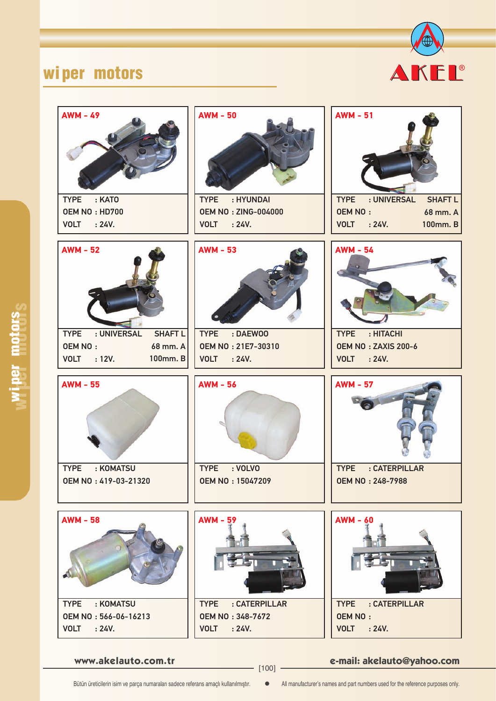#### wiper motors





#### **www.akelauto.com.tr e-mail: akelauto@yahoo.com** [100]